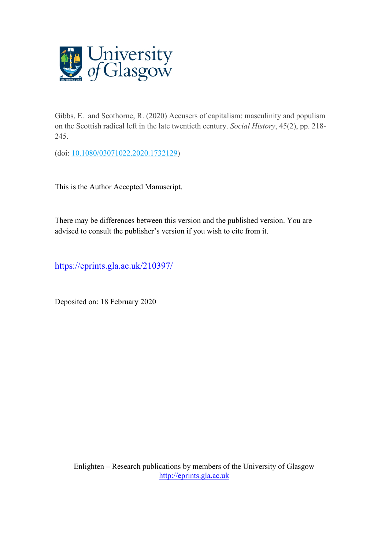

Gibbs, E. and Scothorne, R. (2020) Accusers of capitalism: masculinity and populism on the Scottish radical left in the late twentieth century. *Social History*, 45(2), pp. 218- 245.

(doi: [10.1080/03071022.2020.1732129\)](http://dx.doi.org/10.1080/03071022.2020.1732129)

This is the Author Accepted Manuscript.

There may be differences between this version and the published version. You are advised to consult the publisher's version if you wish to cite from it.

<https://eprints.gla.ac.uk/210397/>

Deposited on: 18 February 2020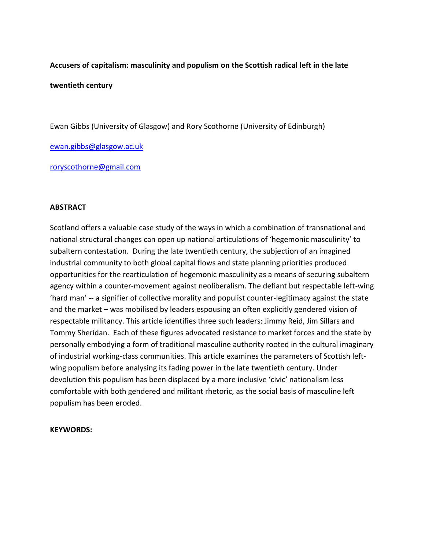# **Accusers of capitalism: masculinity and populism on the Scottish radical left in the late**

## **twentieth century**

Ewan Gibbs (University of Glasgow) and Rory Scothorne (University of Edinburgh)

[ewan.gibbs@glasgow.ac.uk](mailto:ewan.gibbs@uws.ac.uk)

[roryscothorne@gmail.com](mailto:roryscothorne@gmail.com)

## **ABSTRACT**

Scotland offers a valuable case study of the ways in which a combination of transnational and national structural changes can open up national articulations of 'hegemonic masculinity' to subaltern contestation. During the late twentieth century, the subjection of an imagined industrial community to both global capital flows and state planning priorities produced opportunities for the rearticulation of hegemonic masculinity as a means of securing subaltern agency within a counter-movement against neoliberalism. The defiant but respectable left-wing 'hard man' -- a signifier of collective morality and populist counter-legitimacy against the state and the market – was mobilised by leaders espousing an often explicitly gendered vision of respectable militancy. This article identifies three such leaders: Jimmy Reid, Jim Sillars and Tommy Sheridan. Each of these figures advocated resistance to market forces and the state by personally embodying a form of traditional masculine authority rooted in the cultural imaginary of industrial working-class communities. This article examines the parameters of Scottish leftwing populism before analysing its fading power in the late twentieth century. Under devolution this populism has been displaced by a more inclusive 'civic' nationalism less comfortable with both gendered and militant rhetoric, as the social basis of masculine left populism has been eroded.

### **KEYWORDS:**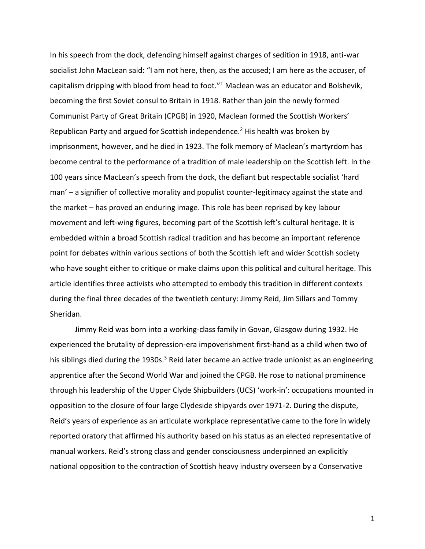In his speech from the dock, defending himself against charges of sedition in 1918, anti-war socialist John MacLean said: "I am not here, then, as the accused; I am here as the accuser, of capitalism dripping with blood from head to foot."<sup>1</sup> Maclean was an educator and Bolshevik, becoming the first Soviet consul to Britain in 1918. Rather than join the newly formed Communist Party of Great Britain (CPGB) in 1920, Maclean formed the Scottish Workers' Republican Party and argued for Scottish independence.<sup>2</sup> His health was broken by imprisonment, however, and he died in 1923. The folk memory of Maclean's martyrdom has become central to the performance of a tradition of male leadership on the Scottish left. In the 100 years since MacLean's speech from the dock, the defiant but respectable socialist 'hard man' – a signifier of collective morality and populist counter-legitimacy against the state and the market – has proved an enduring image. This role has been reprised by key labour movement and left-wing figures, becoming part of the Scottish left's cultural heritage. It is embedded within a broad Scottish radical tradition and has become an important reference point for debates within various sections of both the Scottish left and wider Scottish society who have sought either to critique or make claims upon this political and cultural heritage. This article identifies three activists who attempted to embody this tradition in different contexts during the final three decades of the twentieth century: Jimmy Reid, Jim Sillars and Tommy Sheridan.

Jimmy Reid was born into a working-class family in Govan, Glasgow during 1932. He experienced the brutality of depression-era impoverishment first-hand as a child when two of his siblings died during the 1930s. $3$  Reid later became an active trade unionist as an engineering apprentice after the Second World War and joined the CPGB. He rose to national prominence through his leadership of the Upper Clyde Shipbuilders (UCS) 'work-in': occupations mounted in opposition to the closure of four large Clydeside shipyards over 1971-2. During the dispute, Reid's years of experience as an articulate workplace representative came to the fore in widely reported oratory that affirmed his authority based on his status as an elected representative of manual workers. Reid's strong class and gender consciousness underpinned an explicitly national opposition to the contraction of Scottish heavy industry overseen by a Conservative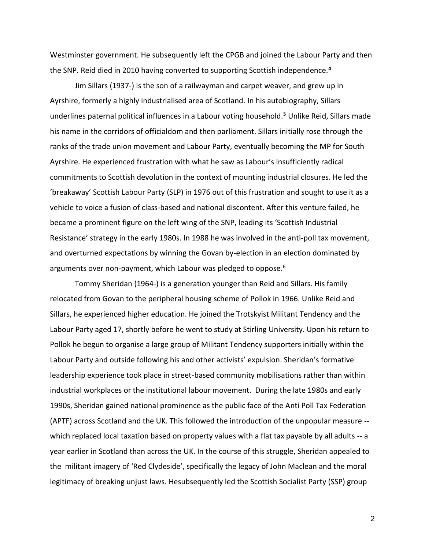Westminster government. He subsequently left the CPGB and joined the Labour Party and then the SNP. Reid died in 2010 having converted to supporting Scottish independence.**<sup>4</sup>**

Jim Sillars (1937-) is the son of a railwayman and carpet weaver, and grew up in Ayrshire, formerly a highly industrialised area of Scotland. In his autobiography, Sillars underlines paternal political influences in a Labour voting household.<sup>5</sup> Unlike Reid, Sillars made his name in the corridors of officialdom and then parliament. Sillars initially rose through the ranks of the trade union movement and Labour Party, eventually becoming the MP for South Ayrshire. He experienced frustration with what he saw as Labour's insufficiently radical commitments to Scottish devolution in the context of mounting industrial closures. He led the 'breakaway' Scottish Labour Party (SLP) in 1976 out of this frustration and sought to use it as a vehicle to voice a fusion of class-based and national discontent. After this venture failed, he became a prominent figure on the left wing of the SNP, leading its 'Scottish Industrial Resistance' strategy in the early 1980s. In 1988 he was involved in the anti-poll tax movement, and overturned expectations by winning the Govan by-election in an election dominated by arguments over non-payment, which Labour was pledged to oppose.<sup>6</sup>

Tommy Sheridan (1964-) is a generation younger than Reid and Sillars. His family relocated from Govan to the peripheral housing scheme of Pollok in 1966. Unlike Reid and Sillars, he experienced higher education. He joined the Trotskyist Militant Tendency and the Labour Party aged 17, shortly before he went to study at Stirling University. Upon his return to Pollok he begun to organise a large group of Militant Tendency supporters initially within the Labour Party and outside following his and other activists' expulsion. Sheridan's formative leadership experience took place in street-based community mobilisations rather than within industrial workplaces or the institutional labour movement. During the late 1980s and early 1990s, Sheridan gained national prominence as the public face of the Anti Poll Tax Federation (APTF) across Scotland and the UK. This followed the introduction of the unpopular measure - which replaced local taxation based on property values with a flat tax payable by all adults -- a year earlier in Scotland than across the UK. In the course of this struggle, Sheridan appealed to the militant imagery of 'Red Clydeside', specifically the legacy of John Maclean and the moral legitimacy of breaking unjust laws. Hesubsequently led the Scottish Socialist Party (SSP) group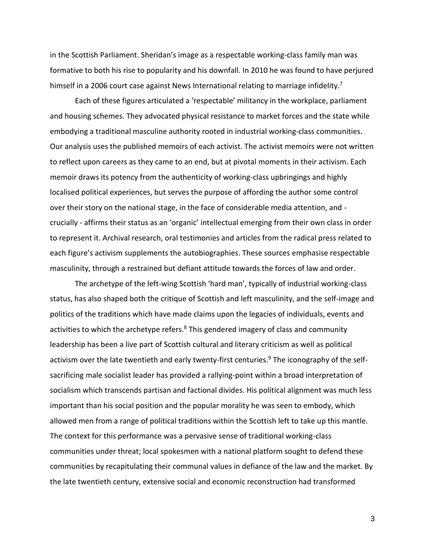in the Scottish Parliament. Sheridan's image as a respectable working-class family man was formative to both his rise to popularity and his downfall. In 2010 he was found to have perjured himself in a 2006 court case against News International relating to marriage infidelity.<sup>7</sup>

Each of these figures articulated a 'respectable' militancy in the workplace, parliament and housing schemes. They advocated physical resistance to market forces and the state while embodying a traditional masculine authority rooted in industrial working-class communities. Our analysis uses the published memoirs of each activist. The activist memoirs were not written to reflect upon careers as they came to an end, but at pivotal moments in their activism. Each memoir draws its potency from the authenticity of working-class upbringings and highly localised political experiences, but serves the purpose of affording the author some control over their story on the national stage, in the face of considerable media attention, and crucially - affirms their status as an 'organic' intellectual emerging from their own class in order to represent it. Archival research, oral testimonies and articles from the radical press related to each figure's activism supplements the autobiographies. These sources emphasise respectable masculinity, through a restrained but defiant attitude towards the forces of law and order.

The archetype of the left-wing Scottish 'hard man', typically of industrial working-class status, has also shaped both the critique of Scottish and left masculinity, and the self-image and politics of the traditions which have made claims upon the legacies of individuals, events and activities to which the archetype refers.<sup>8</sup> This gendered imagery of class and community leadership has been a live part of Scottish cultural and literary criticism as well as political activism over the late twentieth and early twenty-first centuries.<sup>9</sup> The iconography of the selfsacrificing male socialist leader has provided a rallying-point within a broad interpretation of socialism which transcends partisan and factional divides. His political alignment was much less important than his social position and the popular morality he was seen to embody, which allowed men from a range of political traditions within the Scottish left to take up this mantle. The context for this performance was a pervasive sense of traditional working-class communities under threat; local spokesmen with a national platform sought to defend these communities by recapitulating their communal values in defiance of the law and the market. By the late twentieth century, extensive social and economic reconstruction had transformed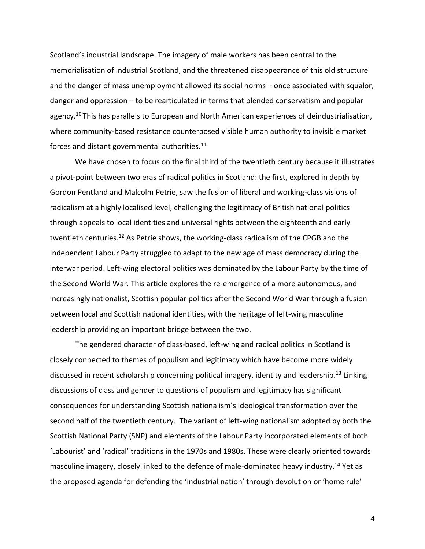Scotland's industrial landscape. The imagery of male workers has been central to the memorialisation of industrial Scotland, and the threatened disappearance of this old structure and the danger of mass unemployment allowed its social norms – once associated with squalor, danger and oppression – to be rearticulated in terms that blended conservatism and popular agency.<sup>10</sup> This has parallels to European and North American experiences of deindustrialisation, where community-based resistance counterposed visible human authority to invisible market forces and distant governmental authorities. $11$ 

We have chosen to focus on the final third of the twentieth century because it illustrates a pivot-point between two eras of radical politics in Scotland: the first, explored in depth by Gordon Pentland and Malcolm Petrie, saw the fusion of liberal and working-class visions of radicalism at a highly localised level, challenging the legitimacy of British national politics through appeals to local identities and universal rights between the eighteenth and early twentieth centuries.<sup>12</sup> As Petrie shows, the working-class radicalism of the CPGB and the Independent Labour Party struggled to adapt to the new age of mass democracy during the interwar period. Left-wing electoral politics was dominated by the Labour Party by the time of the Second World War. This article explores the re-emergence of a more autonomous, and increasingly nationalist, Scottish popular politics after the Second World War through a fusion between local and Scottish national identities, with the heritage of left-wing masculine leadership providing an important bridge between the two.

The gendered character of class-based, left-wing and radical politics in Scotland is closely connected to themes of populism and legitimacy which have become more widely discussed in recent scholarship concerning political imagery, identity and leadership.<sup>13</sup> Linking discussions of class and gender to questions of populism and legitimacy has significant consequences for understanding Scottish nationalism's ideological transformation over the second half of the twentieth century. The variant of left-wing nationalism adopted by both the Scottish National Party (SNP) and elements of the Labour Party incorporated elements of both 'Labourist' and 'radical' traditions in the 1970s and 1980s. These were clearly oriented towards masculine imagery, closely linked to the defence of male-dominated heavy industry.<sup>14</sup> Yet as the proposed agenda for defending the 'industrial nation' through devolution or 'home rule'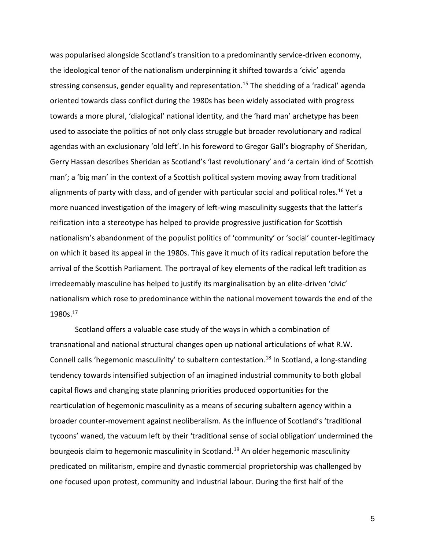was popularised alongside Scotland's transition to a predominantly service-driven economy, the ideological tenor of the nationalism underpinning it shifted towards a 'civic' agenda stressing consensus, gender equality and representation.<sup>15</sup> The shedding of a 'radical' agenda oriented towards class conflict during the 1980s has been widely associated with progress towards a more plural, 'dialogical' national identity, and the 'hard man' archetype has been used to associate the politics of not only class struggle but broader revolutionary and radical agendas with an exclusionary 'old left'. In his foreword to Gregor Gall's biography of Sheridan, Gerry Hassan describes Sheridan as Scotland's 'last revolutionary' and 'a certain kind of Scottish man'; a 'big man' in the context of a Scottish political system moving away from traditional alignments of party with class, and of gender with particular social and political roles.<sup>16</sup> Yet a more nuanced investigation of the imagery of left-wing masculinity suggests that the latter's reification into a stereotype has helped to provide progressive justification for Scottish nationalism's abandonment of the populist politics of 'community' or 'social' counter-legitimacy on which it based its appeal in the 1980s. This gave it much of its radical reputation before the arrival of the Scottish Parliament. The portrayal of key elements of the radical left tradition as irredeemably masculine has helped to justify its marginalisation by an elite-driven 'civic' nationalism which rose to predominance within the national movement towards the end of the 1980s.<sup>17</sup>

Scotland offers a valuable case study of the ways in which a combination of transnational and national structural changes open up national articulations of what R.W. Connell calls 'hegemonic masculinity' to subaltern contestation.<sup>18</sup> In Scotland, a long-standing tendency towards intensified subjection of an imagined industrial community to both global capital flows and changing state planning priorities produced opportunities for the rearticulation of hegemonic masculinity as a means of securing subaltern agency within a broader counter-movement against neoliberalism. As the influence of Scotland's 'traditional tycoons' waned, the vacuum left by their 'traditional sense of social obligation' undermined the bourgeois claim to hegemonic masculinity in Scotland.<sup>19</sup> An older hegemonic masculinity predicated on militarism, empire and dynastic commercial proprietorship was challenged by one focused upon protest, community and industrial labour. During the first half of the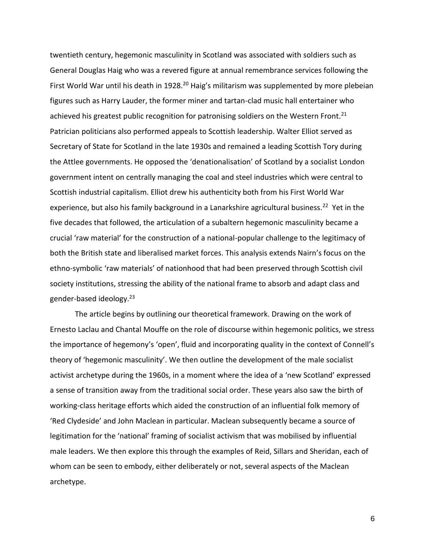twentieth century, hegemonic masculinity in Scotland was associated with soldiers such as General Douglas Haig who was a revered figure at annual remembrance services following the First World War until his death in 1928.<sup>20</sup> Haig's militarism was supplemented by more plebeian figures such as Harry Lauder, the former miner and tartan-clad music hall entertainer who achieved his greatest public recognition for patronising soldiers on the Western Front.<sup>21</sup> Patrician politicians also performed appeals to Scottish leadership. Walter Elliot served as Secretary of State for Scotland in the late 1930s and remained a leading Scottish Tory during the Attlee governments. He opposed the 'denationalisation' of Scotland by a socialist London government intent on centrally managing the coal and steel industries which were central to Scottish industrial capitalism. Elliot drew his authenticity both from his First World War experience, but also his family background in a Lanarkshire agricultural business.<sup>22</sup> Yet in the five decades that followed, the articulation of a subaltern hegemonic masculinity became a crucial 'raw material' for the construction of a national-popular challenge to the legitimacy of both the British state and liberalised market forces. This analysis extends Nairn's focus on the ethno-symbolic 'raw materials' of nationhood that had been preserved through Scottish civil society institutions, stressing the ability of the national frame to absorb and adapt class and gender-based ideology.<sup>23</sup>

The article begins by outlining our theoretical framework. Drawing on the work of Ernesto Laclau and Chantal Mouffe on the role of discourse within hegemonic politics, we stress the importance of hegemony's 'open', fluid and incorporating quality in the context of Connell's theory of 'hegemonic masculinity'. We then outline the development of the male socialist activist archetype during the 1960s, in a moment where the idea of a 'new Scotland' expressed a sense of transition away from the traditional social order. These years also saw the birth of working-class heritage efforts which aided the construction of an influential folk memory of 'Red Clydeside' and John Maclean in particular. Maclean subsequently became a source of legitimation for the 'national' framing of socialist activism that was mobilised by influential male leaders. We then explore this through the examples of Reid, Sillars and Sheridan, each of whom can be seen to embody, either deliberately or not, several aspects of the Maclean archetype.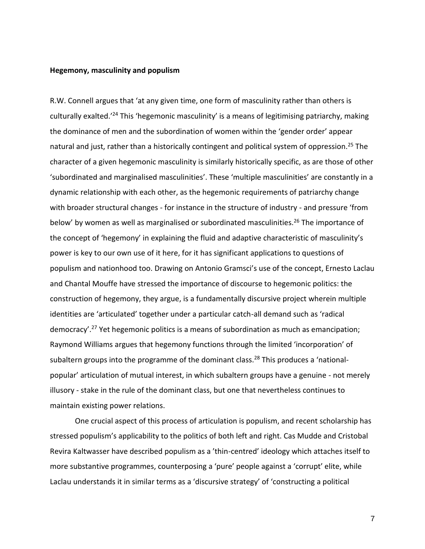#### **Hegemony, masculinity and populism**

R.W. Connell argues that 'at any given time, one form of masculinity rather than others is culturally exalted.<sup>'24</sup> This 'hegemonic masculinity' is a means of legitimising patriarchy, making the dominance of men and the subordination of women within the 'gender order' appear natural and just, rather than a historically contingent and political system of oppression.<sup>25</sup> The character of a given hegemonic masculinity is similarly historically specific, as are those of other 'subordinated and marginalised masculinities'. These 'multiple masculinities' are constantly in a dynamic relationship with each other, as the hegemonic requirements of patriarchy change with broader structural changes - for instance in the structure of industry - and pressure 'from below' by women as well as marginalised or subordinated masculinities.<sup>26</sup> The importance of the concept of 'hegemony' in explaining the fluid and adaptive characteristic of masculinity's power is key to our own use of it here, for it has significant applications to questions of populism and nationhood too. Drawing on Antonio Gramsci's use of the concept, Ernesto Laclau and Chantal Mouffe have stressed the importance of discourse to hegemonic politics: the construction of hegemony, they argue, is a fundamentally discursive project wherein multiple identities are 'articulated' together under a particular catch-all demand such as 'radical democracy'. <sup>27</sup> Yet hegemonic politics is a means of subordination as much as emancipation; Raymond Williams argues that hegemony functions through the limited 'incorporation' of subaltern groups into the programme of the dominant class.<sup>28</sup> This produces a 'nationalpopular' articulation of mutual interest, in which subaltern groups have a genuine - not merely illusory - stake in the rule of the dominant class, but one that nevertheless continues to maintain existing power relations.

One crucial aspect of this process of articulation is populism, and recent scholarship has stressed populism's applicability to the politics of both left and right. Cas Mudde and Cristobal Revira Kaltwasser have described populism as a 'thin-centred' ideology which attaches itself to more substantive programmes, counterposing a 'pure' people against a 'corrupt' elite, while Laclau understands it in similar terms as a 'discursive strategy' of 'constructing a political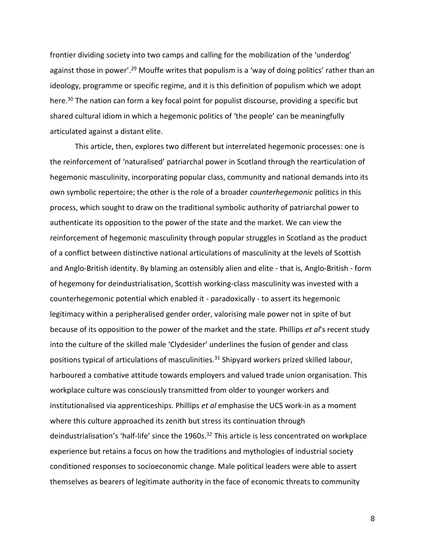frontier dividing society into two camps and calling for the mobilization of the 'underdog' against those in power'.<sup>29</sup> Mouffe writes that populism is a 'way of doing politics' rather than an ideology, programme or specific regime, and it is this definition of populism which we adopt here.<sup>30</sup> The nation can form a key focal point for populist discourse, providing a specific but shared cultural idiom in which a hegemonic politics of 'the people' can be meaningfully articulated against a distant elite.

This article, then, explores two different but interrelated hegemonic processes: one is the reinforcement of 'naturalised' patriarchal power in Scotland through the rearticulation of hegemonic masculinity, incorporating popular class, community and national demands into its own symbolic repertoire; the other is the role of a broader *counterhegemonic* politics in this process, which sought to draw on the traditional symbolic authority of patriarchal power to authenticate its opposition to the power of the state and the market. We can view the reinforcement of hegemonic masculinity through popular struggles in Scotland as the product of a conflict between distinctive national articulations of masculinity at the levels of Scottish and Anglo-British identity. By blaming an ostensibly alien and elite - that is, Anglo-British - form of hegemony for deindustrialisation, Scottish working-class masculinity was invested with a counterhegemonic potential which enabled it - paradoxically - to assert its hegemonic legitimacy within a peripheralised gender order, valorising male power not in spite of but because of its opposition to the power of the market and the state. Phillips *et al*'s recent study into the culture of the skilled male 'Clydesider' underlines the fusion of gender and class positions typical of articulations of masculinities.<sup>31</sup> Shipyard workers prized skilled labour, harboured a combative attitude towards employers and valued trade union organisation. This workplace culture was consciously transmitted from older to younger workers and institutionalised via apprenticeships. Phillips *et al* emphasise the UCS work-in as a moment where this culture approached its zenith but stress its continuation through deindustrialisation's 'half-life' since the 1960s.<sup>32</sup> This article is less concentrated on workplace experience but retains a focus on how the traditions and mythologies of industrial society conditioned responses to socioeconomic change. Male political leaders were able to assert themselves as bearers of legitimate authority in the face of economic threats to community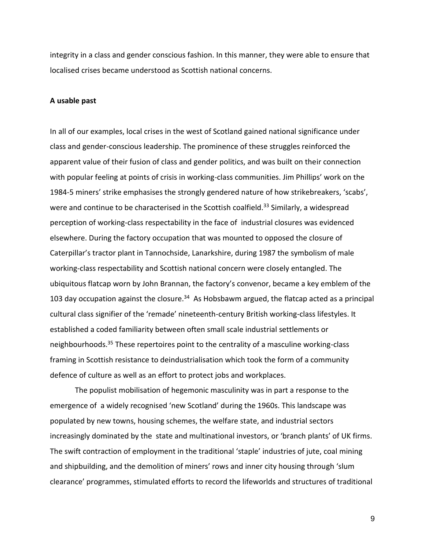integrity in a class and gender conscious fashion. In this manner, they were able to ensure that localised crises became understood as Scottish national concerns.

#### **A usable past**

In all of our examples, local crises in the west of Scotland gained national significance under class and gender-conscious leadership. The prominence of these struggles reinforced the apparent value of their fusion of class and gender politics, and was built on their connection with popular feeling at points of crisis in working-class communities. Jim Phillips' work on the 1984-5 miners' strike emphasises the strongly gendered nature of how strikebreakers, 'scabs', were and continue to be characterised in the Scottish coalfield.<sup>33</sup> Similarly, a widespread perception of working-class respectability in the face of industrial closures was evidenced elsewhere. During the factory occupation that was mounted to opposed the closure of Caterpillar's tractor plant in Tannochside, Lanarkshire, during 1987 the symbolism of male working-class respectability and Scottish national concern were closely entangled. The ubiquitous flatcap worn by John Brannan, the factory's convenor, became a key emblem of the 103 day occupation against the closure.<sup>34</sup> As Hobsbawm argued, the flatcap acted as a principal cultural class signifier of the 'remade' nineteenth-century British working-class lifestyles. It established a coded familiarity between often small scale industrial settlements or neighbourhoods.<sup>35</sup> These repertoires point to the centrality of a masculine working-class framing in Scottish resistance to deindustrialisation which took the form of a community defence of culture as well as an effort to protect jobs and workplaces.

The populist mobilisation of hegemonic masculinity was in part a response to the emergence of a widely recognised 'new Scotland' during the 1960s. This landscape was populated by new towns, housing schemes, the welfare state, and industrial sectors increasingly dominated by the state and multinational investors, or 'branch plants' of UK firms. The swift contraction of employment in the traditional 'staple' industries of jute, coal mining and shipbuilding, and the demolition of miners' rows and inner city housing through 'slum clearance' programmes, stimulated efforts to record the lifeworlds and structures of traditional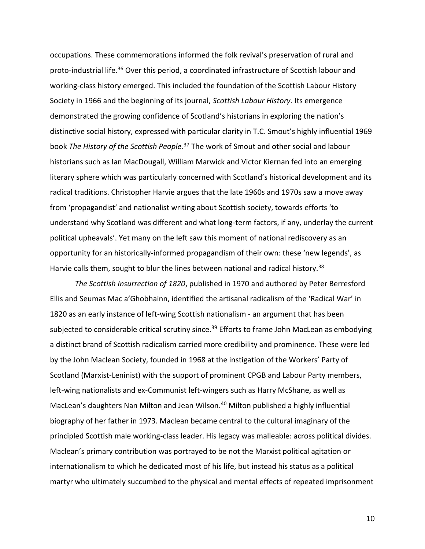occupations. These commemorations informed the folk revival's preservation of rural and proto-industrial life.<sup>36</sup> Over this period, a coordinated infrastructure of Scottish labour and working-class history emerged. This included the foundation of the Scottish Labour History Society in 1966 and the beginning of its journal, *Scottish Labour History*. Its emergence demonstrated the growing confidence of Scotland's historians in exploring the nation's distinctive social history, expressed with particular clarity in T.C. Smout's highly influential 1969 book The History of the Scottish People.<sup>37</sup> The work of Smout and other social and labour historians such as Ian MacDougall, William Marwick and Victor Kiernan fed into an emerging literary sphere which was particularly concerned with Scotland's historical development and its radical traditions. Christopher Harvie argues that the late 1960s and 1970s saw a move away from 'propagandist' and nationalist writing about Scottish society, towards efforts 'to understand why Scotland was different and what long-term factors, if any, underlay the current political upheavals'. Yet many on the left saw this moment of national rediscovery as an opportunity for an historically-informed propagandism of their own: these 'new legends', as Harvie calls them, sought to blur the lines between national and radical history.<sup>38</sup>

*The Scottish Insurrection of 1820*, published in 1970 and authored by Peter Berresford Ellis and Seumas Mac a'Ghobhainn, identified the artisanal radicalism of the 'Radical War' in 1820 as an early instance of left-wing Scottish nationalism - an argument that has been subjected to considerable critical scrutiny since.<sup>39</sup> Efforts to frame John MacLean as embodying a distinct brand of Scottish radicalism carried more credibility and prominence. These were led by the John Maclean Society, founded in 1968 at the instigation of the Workers' Party of Scotland (Marxist-Leninist) with the support of prominent CPGB and Labour Party members, left-wing nationalists and ex-Communist left-wingers such as Harry McShane, as well as MacLean's daughters Nan Milton and Jean Wilson.<sup>40</sup> Milton published a highly influential biography of her father in 1973. Maclean became central to the cultural imaginary of the principled Scottish male working-class leader. His legacy was malleable: across political divides. Maclean's primary contribution was portrayed to be not the Marxist political agitation or internationalism to which he dedicated most of his life, but instead his status as a political martyr who ultimately succumbed to the physical and mental effects of repeated imprisonment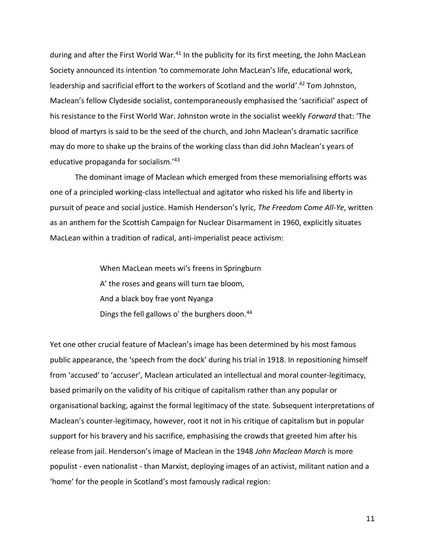during and after the First World War.<sup>41</sup> In the publicity for its first meeting, the John MacLean Society announced its intention 'to commemorate John MacLean's life, educational work, leadership and sacrificial effort to the workers of Scotland and the world'.<sup>42</sup> Tom Johnston, Maclean's fellow Clydeside socialist, contemporaneously emphasised the 'sacrificial' aspect of his resistance to the First World War. Johnston wrote in the socialist weekly *Forward* that: 'The blood of martyrs is said to be the seed of the church, and John Maclean's dramatic sacrifice may do more to shake up the brains of the working class than did John Maclean's years of educative propaganda for socialism.'<sup>43</sup>

The dominant image of Maclean which emerged from these memorialising efforts was one of a principled working-class intellectual and agitator who risked his life and liberty in pursuit of peace and social justice. Hamish Henderson's lyric, *The Freedom Come All-Ye*, written as an anthem for the Scottish Campaign for Nuclear Disarmament in 1960, explicitly situates MacLean within a tradition of radical, anti-imperialist peace activism:

> When MacLean meets wi's freens in Springburn A' the roses and geans will turn tae bloom, And a black boy frae yont Nyanga Dings the fell gallows o' the burghers doon.<sup>44</sup>

Yet one other crucial feature of Maclean's image has been determined by his most famous public appearance, the 'speech from the dock' during his trial in 1918. In repositioning himself from 'accused' to 'accuser', Maclean articulated an intellectual and moral counter-legitimacy, based primarily on the validity of his critique of capitalism rather than any popular or organisational backing, against the formal legitimacy of the state. Subsequent interpretations of Maclean's counter-legitimacy, however, root it not in his critique of capitalism but in popular support for his bravery and his sacrifice, emphasising the crowds that greeted him after his release from jail. Henderson's image of Maclean in the 1948 *John Maclean March* is more populist - even nationalist - than Marxist, deploying images of an activist, militant nation and a 'home' for the people in Scotland's most famously radical region: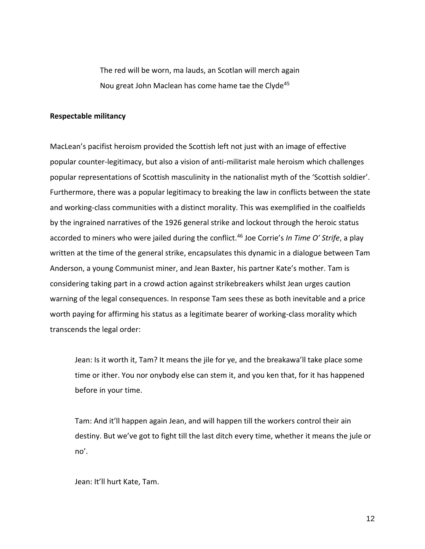The red will be worn, ma lauds, an Scotlan will merch again Nou great John Maclean has come hame tae the Clyde<sup>45</sup>

### **Respectable militancy**

MacLean's pacifist heroism provided the Scottish left not just with an image of effective popular counter-legitimacy, but also a vision of anti-militarist male heroism which challenges popular representations of Scottish masculinity in the nationalist myth of the 'Scottish soldier'. Furthermore, there was a popular legitimacy to breaking the law in conflicts between the state and working-class communities with a distinct morality. This was exemplified in the coalfields by the ingrained narratives of the 1926 general strike and lockout through the heroic status accorded to miners who were jailed during the conflict.<sup>46</sup> Joe Corrie's *In Time O' Strife*, a play written at the time of the general strike, encapsulates this dynamic in a dialogue between Tam Anderson, a young Communist miner, and Jean Baxter, his partner Kate's mother. Tam is considering taking part in a crowd action against strikebreakers whilst Jean urges caution warning of the legal consequences. In response Tam sees these as both inevitable and a price worth paying for affirming his status as a legitimate bearer of working-class morality which transcends the legal order:

Jean: Is it worth it, Tam? It means the jile for ye, and the breakawa'll take place some time or ither. You nor onybody else can stem it, and you ken that, for it has happened before in your time.

Tam: And it'll happen again Jean, and will happen till the workers control their ain destiny. But we've got to fight till the last ditch every time, whether it means the jule or no'.

Jean: It'll hurt Kate, Tam.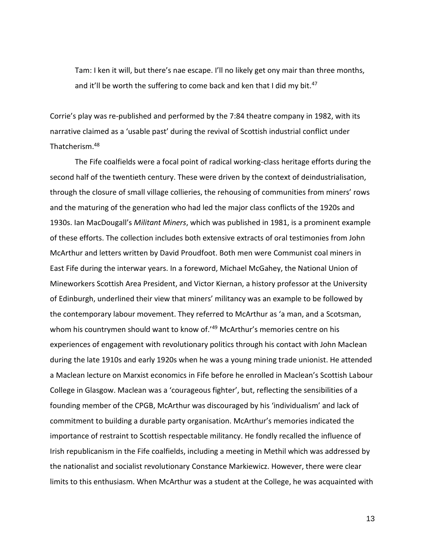Tam: I ken it will, but there's nae escape. I'll no likely get ony mair than three months, and it'll be worth the suffering to come back and ken that I did my bit.<sup>47</sup>

Corrie's play was re-published and performed by the 7:84 theatre company in 1982, with its narrative claimed as a 'usable past' during the revival of Scottish industrial conflict under Thatcherism.<sup>48</sup>

The Fife coalfields were a focal point of radical working-class heritage efforts during the second half of the twentieth century. These were driven by the context of deindustrialisation, through the closure of small village collieries, the rehousing of communities from miners' rows and the maturing of the generation who had led the major class conflicts of the 1920s and 1930s. Ian MacDougall's *Militant Miners*, which was published in 1981, is a prominent example of these efforts. The collection includes both extensive extracts of oral testimonies from John McArthur and letters written by David Proudfoot. Both men were Communist coal miners in East Fife during the interwar years. In a foreword, Michael McGahey, the National Union of Mineworkers Scottish Area President, and Victor Kiernan, a history professor at the University of Edinburgh, underlined their view that miners' militancy was an example to be followed by the contemporary labour movement. They referred to McArthur as 'a man, and a Scotsman, whom his countrymen should want to know of.<sup>'49</sup> McArthur's memories centre on his experiences of engagement with revolutionary politics through his contact with John Maclean during the late 1910s and early 1920s when he was a young mining trade unionist. He attended a Maclean lecture on Marxist economics in Fife before he enrolled in Maclean's Scottish Labour College in Glasgow. Maclean was a 'courageous fighter', but, reflecting the sensibilities of a founding member of the CPGB, McArthur was discouraged by his 'individualism' and lack of commitment to building a durable party organisation. McArthur's memories indicated the importance of restraint to Scottish respectable militancy. He fondly recalled the influence of Irish republicanism in the Fife coalfields, including a meeting in Methil which was addressed by the nationalist and socialist revolutionary Constance Markiewicz. However, there were clear limits to this enthusiasm. When McArthur was a student at the College, he was acquainted with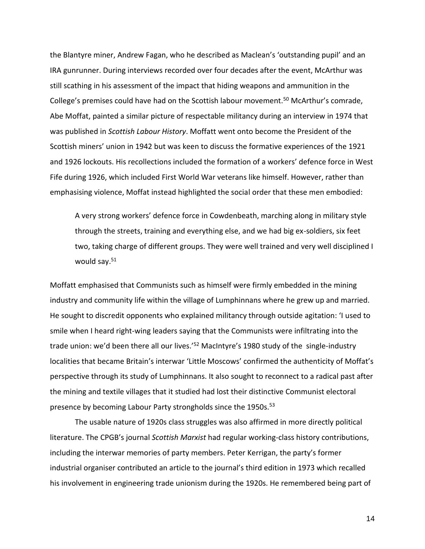the Blantyre miner, Andrew Fagan, who he described as Maclean's 'outstanding pupil' and an IRA gunrunner. During interviews recorded over four decades after the event, McArthur was still scathing in his assessment of the impact that hiding weapons and ammunition in the College's premises could have had on the Scottish labour movement.<sup>50</sup> McArthur's comrade, Abe Moffat, painted a similar picture of respectable militancy during an interview in 1974 that was published in *Scottish Labour History*. Moffatt went onto become the President of the Scottish miners' union in 1942 but was keen to discuss the formative experiences of the 1921 and 1926 lockouts. His recollections included the formation of a workers' defence force in West Fife during 1926, which included First World War veterans like himself. However, rather than emphasising violence, Moffat instead highlighted the social order that these men embodied:

A very strong workers' defence force in Cowdenbeath, marching along in military style through the streets, training and everything else, and we had big ex-soldiers, six feet two, taking charge of different groups. They were well trained and very well disciplined I would say.<sup>51</sup>

Moffatt emphasised that Communists such as himself were firmly embedded in the mining industry and community life within the village of Lumphinnans where he grew up and married. He sought to discredit opponents who explained militancy through outside agitation: 'I used to smile when I heard right-wing leaders saying that the Communists were infiltrating into the trade union: we'd been there all our lives.'<sup>52</sup> MacIntyre's 1980 study of the single-industry localities that became Britain's interwar 'Little Moscows' confirmed the authenticity of Moffat's perspective through its study of Lumphinnans. It also sought to reconnect to a radical past after the mining and textile villages that it studied had lost their distinctive Communist electoral presence by becoming Labour Party strongholds since the 1950s.<sup>53</sup>

The usable nature of 1920s class struggles was also affirmed in more directly political literature. The CPGB's journal *Scottish Marxist* had regular working-class history contributions, including the interwar memories of party members. Peter Kerrigan, the party's former industrial organiser contributed an article to the journal's third edition in 1973 which recalled his involvement in engineering trade unionism during the 1920s. He remembered being part of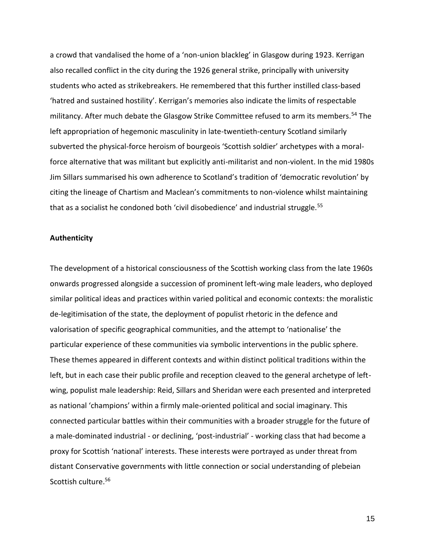a crowd that vandalised the home of a 'non-union blackleg' in Glasgow during 1923. Kerrigan also recalled conflict in the city during the 1926 general strike, principally with university students who acted as strikebreakers. He remembered that this further instilled class-based 'hatred and sustained hostility'. Kerrigan's memories also indicate the limits of respectable militancy. After much debate the Glasgow Strike Committee refused to arm its members.<sup>54</sup> The left appropriation of hegemonic masculinity in late-twentieth-century Scotland similarly subverted the physical-force heroism of bourgeois 'Scottish soldier' archetypes with a moralforce alternative that was militant but explicitly anti-militarist and non-violent. In the mid 1980s Jim Sillars summarised his own adherence to Scotland's tradition of 'democratic revolution' by citing the lineage of Chartism and Maclean's commitments to non-violence whilst maintaining that as a socialist he condoned both 'civil disobedience' and industrial struggle.<sup>55</sup>

### **Authenticity**

The development of a historical consciousness of the Scottish working class from the late 1960s onwards progressed alongside a succession of prominent left-wing male leaders, who deployed similar political ideas and practices within varied political and economic contexts: the moralistic de-legitimisation of the state, the deployment of populist rhetoric in the defence and valorisation of specific geographical communities, and the attempt to 'nationalise' the particular experience of these communities via symbolic interventions in the public sphere. These themes appeared in different contexts and within distinct political traditions within the left, but in each case their public profile and reception cleaved to the general archetype of leftwing, populist male leadership: Reid, Sillars and Sheridan were each presented and interpreted as national 'champions' within a firmly male-oriented political and social imaginary. This connected particular battles within their communities with a broader struggle for the future of a male-dominated industrial - or declining, 'post-industrial' - working class that had become a proxy for Scottish 'national' interests. These interests were portrayed as under threat from distant Conservative governments with little connection or social understanding of plebeian Scottish culture.<sup>56</sup>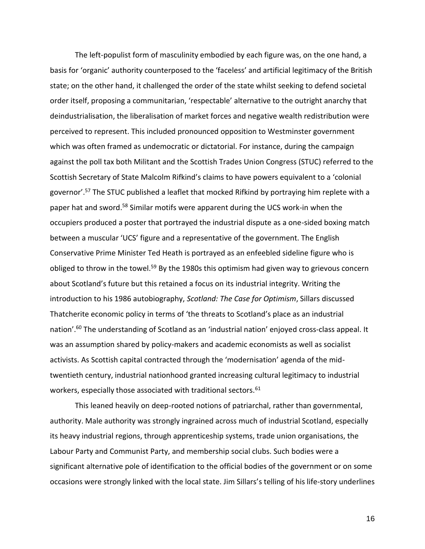The left-populist form of masculinity embodied by each figure was, on the one hand, a basis for 'organic' authority counterposed to the 'faceless' and artificial legitimacy of the British state; on the other hand, it challenged the order of the state whilst seeking to defend societal order itself, proposing a communitarian, 'respectable' alternative to the outright anarchy that deindustrialisation, the liberalisation of market forces and negative wealth redistribution were perceived to represent. This included pronounced opposition to Westminster government which was often framed as undemocratic or dictatorial. For instance, during the campaign against the poll tax both Militant and the Scottish Trades Union Congress (STUC) referred to the Scottish Secretary of State Malcolm Rifkind's claims to have powers equivalent to a 'colonial governor'.<sup>57</sup> The STUC published a leaflet that mocked Rifkind by portraying him replete with a paper hat and sword.<sup>58</sup> Similar motifs were apparent during the UCS work-in when the occupiers produced a poster that portrayed the industrial dispute as a one-sided boxing match between a muscular 'UCS' figure and a representative of the government. The English Conservative Prime Minister Ted Heath is portrayed as an enfeebled sideline figure who is obliged to throw in the towel.<sup>59</sup> By the 1980s this optimism had given way to grievous concern about Scotland's future but this retained a focus on its industrial integrity. Writing the introduction to his 1986 autobiography, *Scotland: The Case for Optimism*, Sillars discussed Thatcherite economic policy in terms of 'the threats to Scotland's place as an industrial nation'. <sup>60</sup> The understanding of Scotland as an 'industrial nation' enjoyed cross-class appeal. It was an assumption shared by policy-makers and academic economists as well as socialist activists. As Scottish capital contracted through the 'modernisation' agenda of the midtwentieth century, industrial nationhood granted increasing cultural legitimacy to industrial workers, especially those associated with traditional sectors.<sup>61</sup>

This leaned heavily on deep-rooted notions of patriarchal, rather than governmental, authority. Male authority was strongly ingrained across much of industrial Scotland, especially its heavy industrial regions, through apprenticeship systems, trade union organisations, the Labour Party and Communist Party, and membership social clubs. Such bodies were a significant alternative pole of identification to the official bodies of the government or on some occasions were strongly linked with the local state. Jim Sillars's telling of his life-story underlines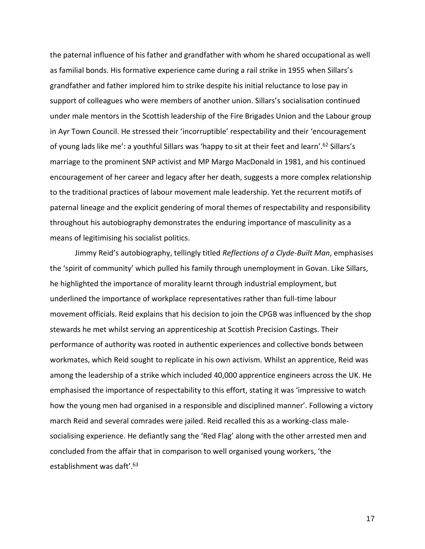the paternal influence of his father and grandfather with whom he shared occupational as well as familial bonds. His formative experience came during a rail strike in 1955 when Sillars's grandfather and father implored him to strike despite his initial reluctance to lose pay in support of colleagues who were members of another union. Sillars's socialisation continued under male mentors in the Scottish leadership of the Fire Brigades Union and the Labour group in Ayr Town Council. He stressed their 'incorruptible' respectability and their 'encouragement of young lads like me': a youthful Sillars was 'happy to sit at their feet and learn'.<sup>62</sup> Sillars's marriage to the prominent SNP activist and MP Margo MacDonald in 1981, and his continued encouragement of her career and legacy after her death, suggests a more complex relationship to the traditional practices of labour movement male leadership. Yet the recurrent motifs of paternal lineage and the explicit gendering of moral themes of respectability and responsibility throughout his autobiography demonstrates the enduring importance of masculinity as a means of legitimising his socialist politics.

Jimmy Reid's autobiography, tellingly titled *Reflections of a Clyde-Built Man*, emphasises the 'spirit of community' which pulled his family through unemployment in Govan. Like Sillars, he highlighted the importance of morality learnt through industrial employment, but underlined the importance of workplace representatives rather than full-time labour movement officials. Reid explains that his decision to join the CPGB was influenced by the shop stewards he met whilst serving an apprenticeship at Scottish Precision Castings. Their performance of authority was rooted in authentic experiences and collective bonds between workmates, which Reid sought to replicate in his own activism. Whilst an apprentice, Reid was among the leadership of a strike which included 40,000 apprentice engineers across the UK. He emphasised the importance of respectability to this effort, stating it was 'impressive to watch how the young men had organised in a responsible and disciplined manner'. Following a victory march Reid and several comrades were jailed. Reid recalled this as a working-class malesocialising experience. He defiantly sang the 'Red Flag' along with the other arrested men and concluded from the affair that in comparison to well organised young workers, 'the establishment was daft'. 63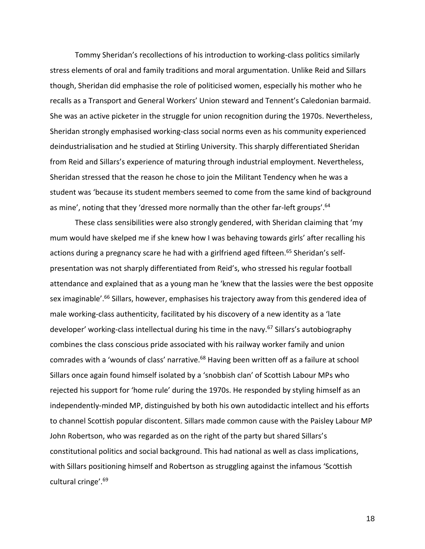Tommy Sheridan's recollections of his introduction to working-class politics similarly stress elements of oral and family traditions and moral argumentation. Unlike Reid and Sillars though, Sheridan did emphasise the role of politicised women, especially his mother who he recalls as a Transport and General Workers' Union steward and Tennent's Caledonian barmaid. She was an active picketer in the struggle for union recognition during the 1970s. Nevertheless, Sheridan strongly emphasised working-class social norms even as his community experienced deindustrialisation and he studied at Stirling University. This sharply differentiated Sheridan from Reid and Sillars's experience of maturing through industrial employment. Nevertheless, Sheridan stressed that the reason he chose to join the Militant Tendency when he was a student was 'because its student members seemed to come from the same kind of background as mine', noting that they 'dressed more normally than the other far-left groups'.<sup>64</sup>

These class sensibilities were also strongly gendered, with Sheridan claiming that 'my mum would have skelped me if she knew how I was behaving towards girls' after recalling his actions during a pregnancy scare he had with a girlfriend aged fifteen.<sup>65</sup> Sheridan's selfpresentation was not sharply differentiated from Reid's, who stressed his regular football attendance and explained that as a young man he 'knew that the lassies were the best opposite sex imaginable'.<sup>66</sup> Sillars, however, emphasises his trajectory away from this gendered idea of male working-class authenticity, facilitated by his discovery of a new identity as a 'late developer' working-class intellectual during his time in the navy.<sup>67</sup> Sillars's autobiography combines the class conscious pride associated with his railway worker family and union comrades with a 'wounds of class' narrative.<sup>68</sup> Having been written off as a failure at school Sillars once again found himself isolated by a 'snobbish clan' of Scottish Labour MPs who rejected his support for 'home rule' during the 1970s. He responded by styling himself as an independently-minded MP, distinguished by both his own autodidactic intellect and his efforts to channel Scottish popular discontent. Sillars made common cause with the Paisley Labour MP John Robertson, who was regarded as on the right of the party but shared Sillars's constitutional politics and social background. This had national as well as class implications, with Sillars positioning himself and Robertson as struggling against the infamous 'Scottish cultural cringe'.69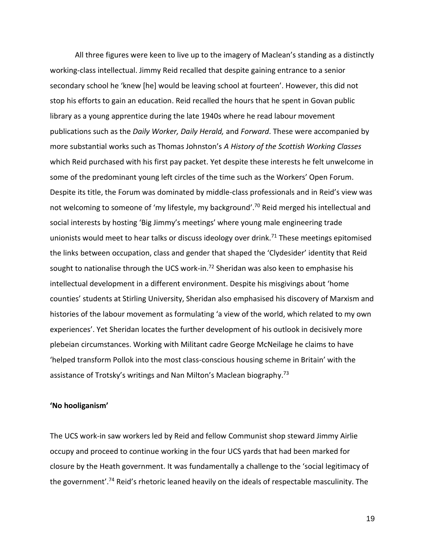All three figures were keen to live up to the imagery of Maclean's standing as a distinctly working-class intellectual. Jimmy Reid recalled that despite gaining entrance to a senior secondary school he 'knew [he] would be leaving school at fourteen'. However, this did not stop his efforts to gain an education. Reid recalled the hours that he spent in Govan public library as a young apprentice during the late 1940s where he read labour movement publications such as the *Daily Worker, Daily Herald,* and *Forward*. These were accompanied by more substantial works such as Thomas Johnston's *A History of the Scottish Working Classes*  which Reid purchased with his first pay packet. Yet despite these interests he felt unwelcome in some of the predominant young left circles of the time such as the Workers' Open Forum. Despite its title, the Forum was dominated by middle-class professionals and in Reid's view was not welcoming to someone of 'my lifestyle, my background'. <sup>70</sup> Reid merged his intellectual and social interests by hosting 'Big Jimmy's meetings' where young male engineering trade unionists would meet to hear talks or discuss ideology over drink.<sup>71</sup> These meetings epitomised the links between occupation, class and gender that shaped the 'Clydesider' identity that Reid sought to nationalise through the UCS work-in.<sup>72</sup> Sheridan was also keen to emphasise his intellectual development in a different environment. Despite his misgivings about 'home counties' students at Stirling University, Sheridan also emphasised his discovery of Marxism and histories of the labour movement as formulating 'a view of the world, which related to my own experiences'. Yet Sheridan locates the further development of his outlook in decisively more plebeian circumstances. Working with Militant cadre George McNeilage he claims to have 'helped transform Pollok into the most class-conscious housing scheme in Britain' with the assistance of Trotsky's writings and Nan Milton's Maclean biography.<sup>73</sup>

## **'No hooliganism'**

The UCS work-in saw workers led by Reid and fellow Communist shop steward Jimmy Airlie occupy and proceed to continue working in the four UCS yards that had been marked for closure by the Heath government. It was fundamentally a challenge to the 'social legitimacy of the government'.<sup>74</sup> Reid's rhetoric leaned heavily on the ideals of respectable masculinity. The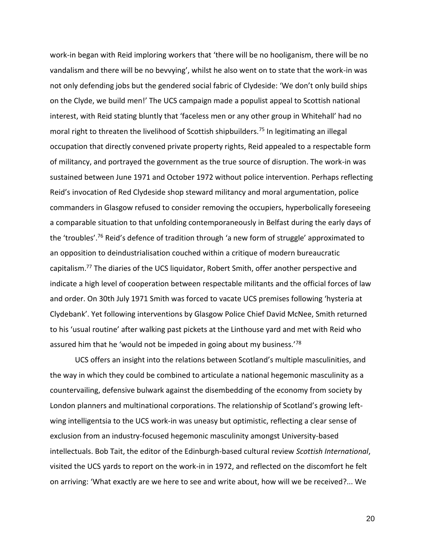work-in began with Reid imploring workers that 'there will be no hooliganism, there will be no vandalism and there will be no bevvying', whilst he also went on to state that the work-in was not only defending jobs but the gendered social fabric of Clydeside: 'We don't only build ships on the Clyde, we build men!' The UCS campaign made a populist appeal to Scottish national interest, with Reid stating bluntly that 'faceless men or any other group in Whitehall' had no moral right to threaten the livelihood of Scottish shipbuilders.<sup>75</sup> In legitimating an illegal occupation that directly convened private property rights, Reid appealed to a respectable form of militancy, and portrayed the government as the true source of disruption. The work-in was sustained between June 1971 and October 1972 without police intervention. Perhaps reflecting Reid's invocation of Red Clydeside shop steward militancy and moral argumentation, police commanders in Glasgow refused to consider removing the occupiers, hyperbolically foreseeing a comparable situation to that unfolding contemporaneously in Belfast during the early days of the 'troubles'.<sup>76</sup> Reid's defence of tradition through 'a new form of struggle' approximated to an opposition to deindustrialisation couched within a critique of modern bureaucratic capitalism.<sup>77</sup> The diaries of the UCS liquidator, Robert Smith, offer another perspective and indicate a high level of cooperation between respectable militants and the official forces of law and order. On 30th July 1971 Smith was forced to vacate UCS premises following 'hysteria at Clydebank'. Yet following interventions by Glasgow Police Chief David McNee, Smith returned to his 'usual routine' after walking past pickets at the Linthouse yard and met with Reid who assured him that he 'would not be impeded in going about my business.<sup>'78</sup>

UCS offers an insight into the relations between Scotland's multiple masculinities, and the way in which they could be combined to articulate a national hegemonic masculinity as a countervailing, defensive bulwark against the disembedding of the economy from society by London planners and multinational corporations. The relationship of Scotland's growing leftwing intelligentsia to the UCS work-in was uneasy but optimistic, reflecting a clear sense of exclusion from an industry-focused hegemonic masculinity amongst University-based intellectuals. Bob Tait, the editor of the Edinburgh-based cultural review *Scottish International*, visited the UCS yards to report on the work-in in 1972, and reflected on the discomfort he felt on arriving: 'What exactly are we here to see and write about, how will we be received?... We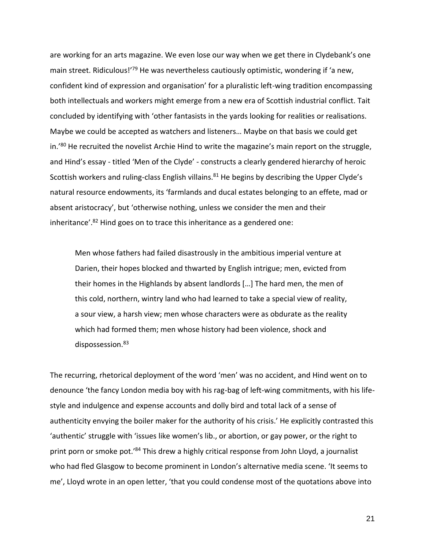are working for an arts magazine. We even lose our way when we get there in Clydebank's one main street. Ridiculous!<sup>'79</sup> He was nevertheless cautiously optimistic, wondering if 'a new, confident kind of expression and organisation' for a pluralistic left-wing tradition encompassing both intellectuals and workers might emerge from a new era of Scottish industrial conflict. Tait concluded by identifying with 'other fantasists in the yards looking for realities or realisations. Maybe we could be accepted as watchers and listeners… Maybe on that basis we could get in.'80 He recruited the novelist Archie Hind to write the magazine's main report on the struggle, and Hind's essay - titled 'Men of the Clyde' - constructs a clearly gendered hierarchy of heroic Scottish workers and ruling-class English villains.<sup>81</sup> He begins by describing the Upper Clyde's natural resource endowments, its 'farmlands and ducal estates belonging to an effete, mad or absent aristocracy', but 'otherwise nothing, unless we consider the men and their inheritance'.<sup>82</sup> Hind goes on to trace this inheritance as a gendered one:

Men whose fathers had failed disastrously in the ambitious imperial venture at Darien, their hopes blocked and thwarted by English intrigue; men, evicted from their homes in the Highlands by absent landlords […] The hard men, the men of this cold, northern, wintry land who had learned to take a special view of reality, a sour view, a harsh view; men whose characters were as obdurate as the reality which had formed them; men whose history had been violence, shock and dispossession.<sup>83</sup>

The recurring, rhetorical deployment of the word 'men' was no accident, and Hind went on to denounce 'the fancy London media boy with his rag-bag of left-wing commitments, with his lifestyle and indulgence and expense accounts and dolly bird and total lack of a sense of authenticity envying the boiler maker for the authority of his crisis.' He explicitly contrasted this 'authentic' struggle with 'issues like women's lib., or abortion, or gay power, or the right to print porn or smoke pot.<sup>'84</sup> This drew a highly critical response from John Lloyd, a journalist who had fled Glasgow to become prominent in London's alternative media scene. 'It seems to me', Lloyd wrote in an open letter, 'that you could condense most of the quotations above into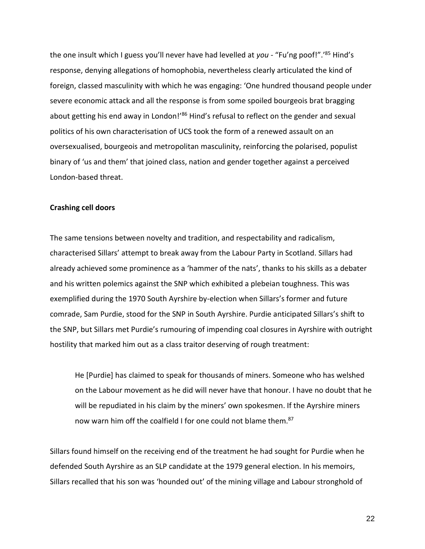the one insult which I guess you'll never have had levelled at *you* - "Fu'ng poof!".'<sup>85</sup> Hind's response, denying allegations of homophobia, nevertheless clearly articulated the kind of foreign, classed masculinity with which he was engaging: 'One hundred thousand people under severe economic attack and all the response is from some spoiled bourgeois brat bragging about getting his end away in London!<sup>'86</sup> Hind's refusal to reflect on the gender and sexual politics of his own characterisation of UCS took the form of a renewed assault on an oversexualised, bourgeois and metropolitan masculinity, reinforcing the polarised, populist binary of 'us and them' that joined class, nation and gender together against a perceived London-based threat.

### **Crashing cell doors**

The same tensions between novelty and tradition, and respectability and radicalism, characterised Sillars' attempt to break away from the Labour Party in Scotland. Sillars had already achieved some prominence as a 'hammer of the nats', thanks to his skills as a debater and his written polemics against the SNP which exhibited a plebeian toughness. This was exemplified during the 1970 South Ayrshire by-election when Sillars's former and future comrade, Sam Purdie, stood for the SNP in South Ayrshire. Purdie anticipated Sillars's shift to the SNP, but Sillars met Purdie's rumouring of impending coal closures in Ayrshire with outright hostility that marked him out as a class traitor deserving of rough treatment:

He [Purdie] has claimed to speak for thousands of miners. Someone who has welshed on the Labour movement as he did will never have that honour. I have no doubt that he will be repudiated in his claim by the miners' own spokesmen. If the Ayrshire miners now warn him off the coalfield I for one could not blame them.<sup>87</sup>

Sillars found himself on the receiving end of the treatment he had sought for Purdie when he defended South Ayrshire as an SLP candidate at the 1979 general election. In his memoirs, Sillars recalled that his son was 'hounded out' of the mining village and Labour stronghold of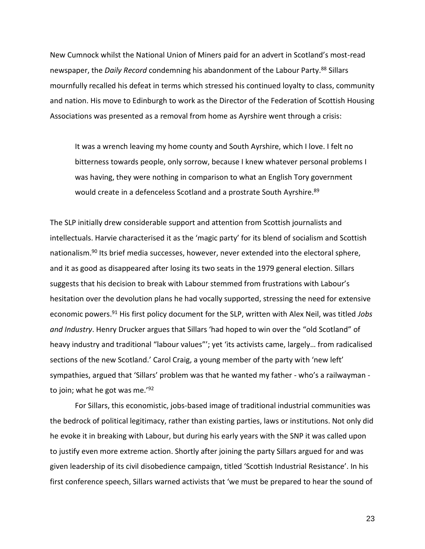New Cumnock whilst the National Union of Miners paid for an advert in Scotland's most-read newspaper, the *Daily Record* condemning his abandonment of the Labour Party.<sup>88</sup> Sillars mournfully recalled his defeat in terms which stressed his continued loyalty to class, community and nation. His move to Edinburgh to work as the Director of the Federation of Scottish Housing Associations was presented as a removal from home as Ayrshire went through a crisis:

It was a wrench leaving my home county and South Ayrshire, which I love. I felt no bitterness towards people, only sorrow, because I knew whatever personal problems I was having, they were nothing in comparison to what an English Tory government would create in a defenceless Scotland and a prostrate South Ayrshire.<sup>89</sup>

The SLP initially drew considerable support and attention from Scottish journalists and intellectuals. Harvie characterised it as the 'magic party' for its blend of socialism and Scottish nationalism.<sup>90</sup> Its brief media successes, however, never extended into the electoral sphere, and it as good as disappeared after losing its two seats in the 1979 general election. Sillars suggests that his decision to break with Labour stemmed from frustrations with Labour's hesitation over the devolution plans he had vocally supported, stressing the need for extensive economic powers.<sup>91</sup> His first policy document for the SLP, written with Alex Neil, was titled *Jobs and Industry*. Henry Drucker argues that Sillars 'had hoped to win over the "old Scotland" of heavy industry and traditional "labour values"'; yet 'its activists came, largely… from radicalised sections of the new Scotland.' Carol Craig, a young member of the party with 'new left' sympathies, argued that 'Sillars' problem was that he wanted my father - who's a railwayman to join; what he got was me.'92

For Sillars, this economistic, jobs-based image of traditional industrial communities was the bedrock of political legitimacy, rather than existing parties, laws or institutions. Not only did he evoke it in breaking with Labour, but during his early years with the SNP it was called upon to justify even more extreme action. Shortly after joining the party Sillars argued for and was given leadership of its civil disobedience campaign, titled 'Scottish Industrial Resistance'. In his first conference speech, Sillars warned activists that 'we must be prepared to hear the sound of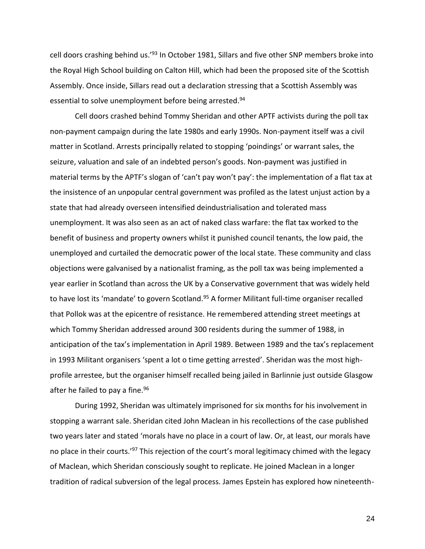cell doors crashing behind us.'<sup>93</sup> In October 1981, Sillars and five other SNP members broke into the Royal High School building on Calton Hill, which had been the proposed site of the Scottish Assembly. Once inside, Sillars read out a declaration stressing that a Scottish Assembly was essential to solve unemployment before being arrested.<sup>94</sup>

Cell doors crashed behind Tommy Sheridan and other APTF activists during the poll tax non-payment campaign during the late 1980s and early 1990s. Non-payment itself was a civil matter in Scotland. Arrests principally related to stopping 'poindings' or warrant sales, the seizure, valuation and sale of an indebted person's goods. Non-payment was justified in material terms by the APTF's slogan of 'can't pay won't pay': the implementation of a flat tax at the insistence of an unpopular central government was profiled as the latest unjust action by a state that had already overseen intensified deindustrialisation and tolerated mass unemployment. It was also seen as an act of naked class warfare: the flat tax worked to the benefit of business and property owners whilst it punished council tenants, the low paid, the unemployed and curtailed the democratic power of the local state. These community and class objections were galvanised by a nationalist framing, as the poll tax was being implemented a year earlier in Scotland than across the UK by a Conservative government that was widely held to have lost its 'mandate' to govern Scotland.<sup>95</sup> A former Militant full-time organiser recalled that Pollok was at the epicentre of resistance. He remembered attending street meetings at which Tommy Sheridan addressed around 300 residents during the summer of 1988, in anticipation of the tax's implementation in April 1989. Between 1989 and the tax's replacement in 1993 Militant organisers 'spent a lot o time getting arrested'. Sheridan was the most highprofile arrestee, but the organiser himself recalled being jailed in Barlinnie just outside Glasgow after he failed to pay a fine.<sup>96</sup>

During 1992, Sheridan was ultimately imprisoned for six months for his involvement in stopping a warrant sale. Sheridan cited John Maclean in his recollections of the case published two years later and stated 'morals have no place in a court of law. Or, at least, our morals have no place in their courts.<sup>'97</sup> This rejection of the court's moral legitimacy chimed with the legacy of Maclean, which Sheridan consciously sought to replicate. He joined Maclean in a longer tradition of radical subversion of the legal process. James Epstein has explored how nineteenth-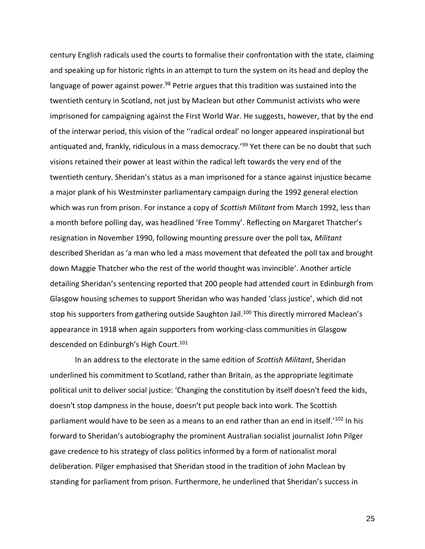century English radicals used the courts to formalise their confrontation with the state, claiming and speaking up for historic rights in an attempt to turn the system on its head and deploy the language of power against power.<sup>98</sup> Petrie argues that this tradition was sustained into the twentieth century in Scotland, not just by Maclean but other Communist activists who were imprisoned for campaigning against the First World War. He suggests, however, that by the end of the interwar period, this vision of the ''radical ordeal' no longer appeared inspirational but antiquated and, frankly, ridiculous in a mass democracy.<sup>'99</sup> Yet there can be no doubt that such visions retained their power at least within the radical left towards the very end of the twentieth century. Sheridan's status as a man imprisoned for a stance against injustice became a major plank of his Westminster parliamentary campaign during the 1992 general election which was run from prison. For instance a copy of *Scottish Militant* from March 1992, less than a month before polling day, was headlined 'Free Tommy'. Reflecting on Margaret Thatcher's resignation in November 1990, following mounting pressure over the poll tax, *Militant* described Sheridan as 'a man who led a mass movement that defeated the poll tax and brought down Maggie Thatcher who the rest of the world thought was invincible'. Another article detailing Sheridan's sentencing reported that 200 people had attended court in Edinburgh from Glasgow housing schemes to support Sheridan who was handed 'class justice', which did not stop his supporters from gathering outside Saughton Jail.<sup>100</sup> This directly mirrored Maclean's appearance in 1918 when again supporters from working-class communities in Glasgow descended on Edinburgh's High Court.<sup>101</sup>

In an address to the electorate in the same edition of *Scottish Militant*, Sheridan underlined his commitment to Scotland, rather than Britain, as the appropriate legitimate political unit to deliver social justice: 'Changing the constitution by itself doesn't feed the kids, doesn't stop dampness in the house, doesn't put people back into work. The Scottish parliament would have to be seen as a means to an end rather than an end in itself.<sup>'102</sup> In his forward to Sheridan's autobiography the prominent Australian socialist journalist John Pilger gave credence to his strategy of class politics informed by a form of nationalist moral deliberation. Pilger emphasised that Sheridan stood in the tradition of John Maclean by standing for parliament from prison. Furthermore, he underlined that Sheridan's success in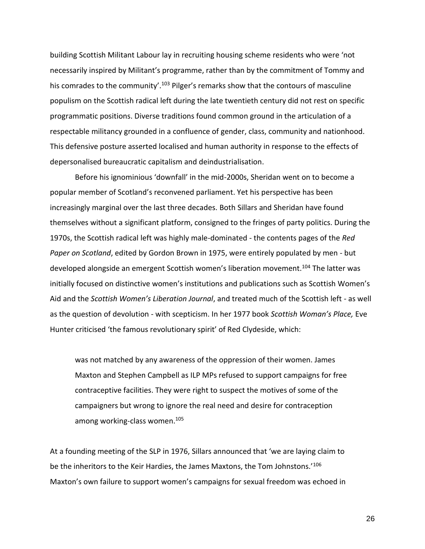building Scottish Militant Labour lay in recruiting housing scheme residents who were 'not necessarily inspired by Militant's programme, rather than by the commitment of Tommy and his comrades to the community'.<sup>103</sup> Pilger's remarks show that the contours of masculine populism on the Scottish radical left during the late twentieth century did not rest on specific programmatic positions. Diverse traditions found common ground in the articulation of a respectable militancy grounded in a confluence of gender, class, community and nationhood. This defensive posture asserted localised and human authority in response to the effects of depersonalised bureaucratic capitalism and deindustrialisation.

Before his ignominious 'downfall' in the mid-2000s, Sheridan went on to become a popular member of Scotland's reconvened parliament. Yet his perspective has been increasingly marginal over the last three decades. Both Sillars and Sheridan have found themselves without a significant platform, consigned to the fringes of party politics. During the 1970s, the Scottish radical left was highly male-dominated - the contents pages of the *Red Paper on Scotland*, edited by Gordon Brown in 1975, were entirely populated by men - but developed alongside an emergent Scottish women's liberation movement.<sup>104</sup> The latter was initially focused on distinctive women's institutions and publications such as Scottish Women's Aid and the *Scottish Women's Liberation Journal*, and treated much of the Scottish left - as well as the question of devolution - with scepticism. In her 1977 book *Scottish Woman's Place,* Eve Hunter criticised 'the famous revolutionary spirit' of Red Clydeside, which:

was not matched by any awareness of the oppression of their women. James Maxton and Stephen Campbell as ILP MPs refused to support campaigns for free contraceptive facilities. They were right to suspect the motives of some of the campaigners but wrong to ignore the real need and desire for contraception among working-class women.<sup>105</sup>

At a founding meeting of the SLP in 1976, Sillars announced that 'we are laying claim to be the inheritors to the Keir Hardies, the James Maxtons, the Tom Johnstons.<sup>'106</sup> Maxton's own failure to support women's campaigns for sexual freedom was echoed in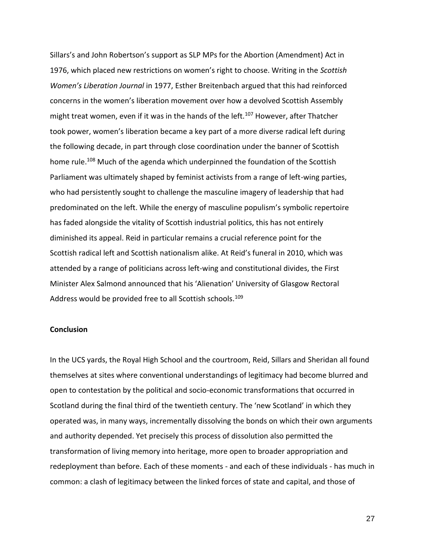Sillars's and John Robertson's support as SLP MPs for the Abortion (Amendment) Act in 1976, which placed new restrictions on women's right to choose. Writing in the *Scottish Women's Liberation Journal* in 1977, Esther Breitenbach argued that this had reinforced concerns in the women's liberation movement over how a devolved Scottish Assembly might treat women, even if it was in the hands of the left.<sup>107</sup> However, after Thatcher took power, women's liberation became a key part of a more diverse radical left during the following decade, in part through close coordination under the banner of Scottish home rule.<sup>108</sup> Much of the agenda which underpinned the foundation of the Scottish Parliament was ultimately shaped by feminist activists from a range of left-wing parties, who had persistently sought to challenge the masculine imagery of leadership that had predominated on the left. While the energy of masculine populism's symbolic repertoire has faded alongside the vitality of Scottish industrial politics, this has not entirely diminished its appeal. Reid in particular remains a crucial reference point for the Scottish radical left and Scottish nationalism alike. At Reid's funeral in 2010, which was attended by a range of politicians across left-wing and constitutional divides, the First Minister Alex Salmond announced that his 'Alienation' University of Glasgow Rectoral Address would be provided free to all Scottish schools.<sup>109</sup>

### **Conclusion**

In the UCS yards, the Royal High School and the courtroom, Reid, Sillars and Sheridan all found themselves at sites where conventional understandings of legitimacy had become blurred and open to contestation by the political and socio-economic transformations that occurred in Scotland during the final third of the twentieth century. The 'new Scotland' in which they operated was, in many ways, incrementally dissolving the bonds on which their own arguments and authority depended. Yet precisely this process of dissolution also permitted the transformation of living memory into heritage, more open to broader appropriation and redeployment than before. Each of these moments - and each of these individuals - has much in common: a clash of legitimacy between the linked forces of state and capital, and those of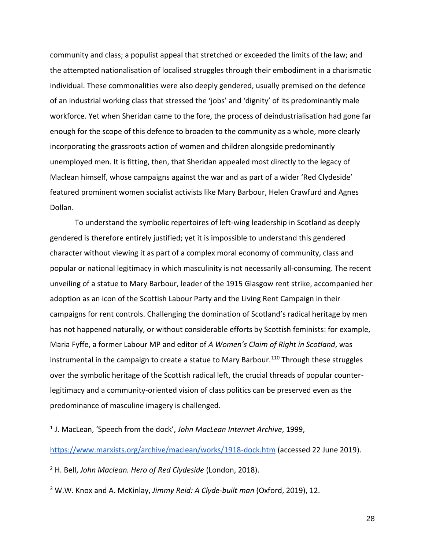community and class; a populist appeal that stretched or exceeded the limits of the law; and the attempted nationalisation of localised struggles through their embodiment in a charismatic individual. These commonalities were also deeply gendered, usually premised on the defence of an industrial working class that stressed the 'jobs' and 'dignity' of its predominantly male workforce. Yet when Sheridan came to the fore, the process of deindustrialisation had gone far enough for the scope of this defence to broaden to the community as a whole, more clearly incorporating the grassroots action of women and children alongside predominantly unemployed men. It is fitting, then, that Sheridan appealed most directly to the legacy of Maclean himself, whose campaigns against the war and as part of a wider 'Red Clydeside' featured prominent women socialist activists like Mary Barbour, Helen Crawfurd and Agnes Dollan.

To understand the symbolic repertoires of left-wing leadership in Scotland as deeply gendered is therefore entirely justified; yet it is impossible to understand this gendered character without viewing it as part of a complex moral economy of community, class and popular or national legitimacy in which masculinity is not necessarily all-consuming. The recent unveiling of a statue to Mary Barbour, leader of the 1915 Glasgow rent strike, accompanied her adoption as an icon of the Scottish Labour Party and the Living Rent Campaign in their campaigns for rent controls. Challenging the domination of Scotland's radical heritage by men has not happened naturally, or without considerable efforts by Scottish feminists: for example, Maria Fyffe, a former Labour MP and editor of *A Women's Claim of Right in Scotland*, was instrumental in the campaign to create a statue to Mary Barbour.<sup>110</sup> Through these struggles over the symbolic heritage of the Scottish radical left, the crucial threads of popular counterlegitimacy and a community-oriented vision of class politics can be preserved even as the predominance of masculine imagery is challenged.

<https://www.marxists.org/archive/maclean/works/1918-dock.htm> (accessed 22 June 2019).

<sup>2</sup> H. Bell, *John Maclean. Hero of Red Clydeside* (London, 2018).

<sup>1</sup> J. MacLean, 'Speech from the dock', *John MacLean Internet Archive*, 1999,

<sup>3</sup> W.W. Knox and A. McKinlay, *Jimmy Reid: A Clyde-built man* (Oxford, 2019), 12.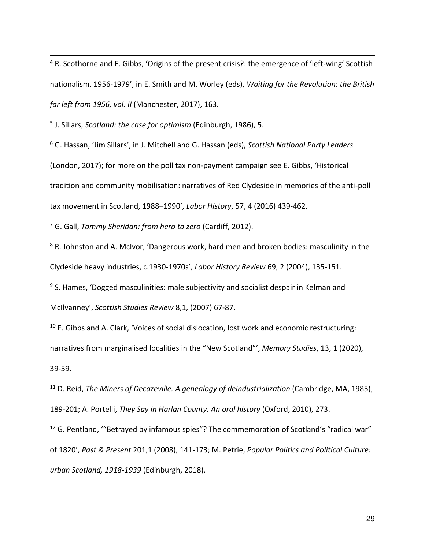<sup>4</sup> R. Scothorne and E. Gibbs, 'Origins of the present crisis?: the emergence of 'left-wing' Scottish nationalism, 1956-1979', in E. Smith and M. Worley (eds), *Waiting for the Revolution: the British far left from 1956, vol. II* (Manchester, 2017), 163.

5 J. Sillars, *Scotland: the case for optimism* (Edinburgh, 1986), 5.

<sup>6</sup> G. Hassan, 'Jim Sillars', in J. Mitchell and G. Hassan (eds), *Scottish National Party Leaders*  (London, 2017); for more on the poll tax non-payment campaign see E. Gibbs, 'Historical tradition and community mobilisation: narratives of Red Clydeside in memories of the anti-poll tax movement in Scotland, 1988–1990', *Labor History*, 57, 4 (2016) 439-462.

<sup>7</sup> G. Gall, *Tommy Sheridan: from hero to zero* (Cardiff, 2012).

<sup>8</sup> R. Johnston and A. McIvor, 'Dangerous work, hard men and broken bodies: masculinity in the Clydeside heavy industries, c.1930-1970s', *Labor History Review* 69, 2 (2004), 135-151.

<sup>9</sup> S. Hames, 'Dogged masculinities: male subjectivity and socialist despair in Kelman and McIlvanney', *Scottish Studies Review* 8,1, (2007) 67-87.

 $10$  E. Gibbs and A. Clark, 'Voices of social dislocation, lost work and economic restructuring: narratives from marginalised localities in the "New Scotland"', *Memory Studies*, 13, 1 (2020), 39-59.

<sup>11</sup> D. Reid, *The Miners of Decazeville. A genealogy of deindustrialization* (Cambridge, MA, 1985), 189-201; A. Portelli, *They Say in Harlan County. An oral history* (Oxford, 2010), 273.

 $12$  G. Pentland, "Betrayed by infamous spies"? The commemoration of Scotland's "radical war" of 1820', *Past & Present* 201,1 (2008), 141-173; M. Petrie, *Popular Politics and Political Culture: urban Scotland, 1918-1939* (Edinburgh, 2018).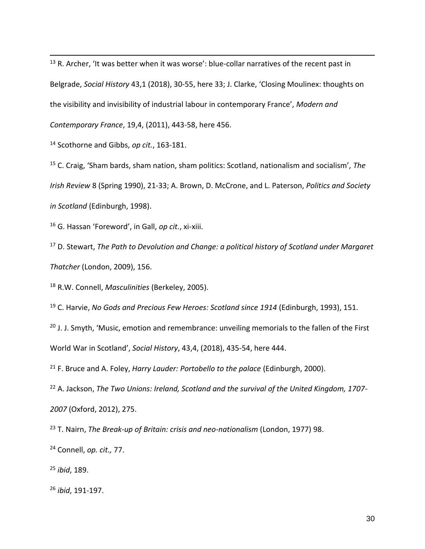R. Archer, 'It was better when it was worse': blue-collar narratives of the recent past in Belgrade, *Social History* 43,1 (2018), 30-55, here 33; J. Clarke, 'Closing Moulinex: thoughts on the visibility and invisibility of industrial labour in contemporary France', *Modern and Contemporary France*, 19,4, (2011), 443-58, here 456.

Scothorne and Gibbs, *op cit.*, 163-181.

 C. Craig, 'Sham bards, sham nation, sham politics: Scotland, nationalism and socialism', *The Irish Review* 8 (Spring 1990), 21-33; A. Brown, D. McCrone, and L. Paterson, *Politics and Society in Scotland* (Edinburgh, 1998).

G. Hassan 'Foreword', in Gall, *op cit.*, xi-xiii.

 D. Stewart, *The Path to Devolution and Change: a political history of Scotland under Margaret Thatcher* (London, 2009), 156.

R.W. Connell, *Masculinities* (Berkeley, 2005).

C. Harvie, *No Gods and Precious Few Heroes: Scotland since 1914* (Edinburgh, 1993), 151.

 J. J. Smyth, 'Music, emotion and remembrance: unveiling memorials to the fallen of the First World War in Scotland', *Social History*, 43,4, (2018), 435-54, here 444.

F. Bruce and A. Foley, *Harry Lauder: Portobello to the palace* (Edinburgh, 2000).

 A. Jackson, *The Two Unions: Ireland, Scotland and the survival of the United Kingdom, 1707-* (Oxford, 2012), 275.

T. Nairn, *The Break-up of Britain: crisis and neo-nationalism* (London, 1977) 98.

Connell, *op. cit.,* 77.

*ibid*, 189.

*ibid*, 191-197.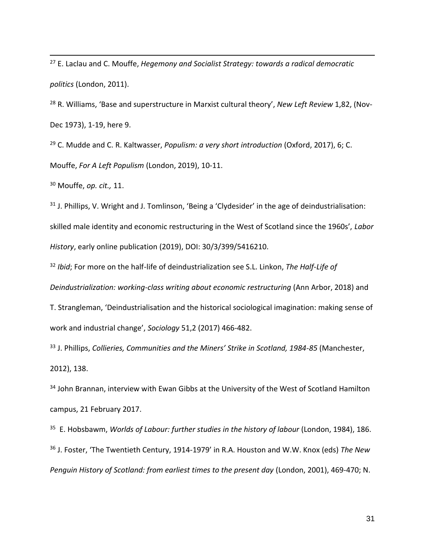<sup>27</sup> E. Laclau and C. Mouffe, *Hegemony and Socialist Strategy: towards a radical democratic politics* (London, 2011).

<sup>28</sup> R. Williams, 'Base and superstructure in Marxist cultural theory', *New Left Review* 1,82, (Nov-Dec 1973), 1-19, here 9.

<sup>29</sup> C. Mudde and C. R. Kaltwasser, *Populism: a very short introduction* (Oxford, 2017), 6; C. Mouffe, *For A Left Populism* (London, 2019), 10-11.

<sup>30</sup> Mouffe, *op. cit.,* 11.

 $31$  J. Phillips, V. Wright and J. Tomlinson, 'Being a 'Clydesider' in the age of deindustrialisation: skilled male identity and economic restructuring in the West of Scotland since the 1960s', *Labor History*, early online publication (2019), DOI: 30/3/399/5416210.

<sup>32</sup> *Ibid*; For more on the half-life of deindustrialization see S.L. Linkon, *The Half-Life of* 

*Deindustrialization: working-class writing about economic restructuring* (Ann Arbor, 2018) and

T. Strangleman, 'Deindustrialisation and the historical sociological imagination: making sense of work and industrial change', *Sociology* 51,2 (2017) 466-482.

<sup>33</sup> J. Phillips, *Collieries, Communities and the Miners' Strike in Scotland, 1984-85* (Manchester, 2012), 138.

<sup>34</sup> John Brannan, interview with Ewan Gibbs at the University of the West of Scotland Hamilton campus, 21 February 2017.

35 E. Hobsbawm, *Worlds of Labour: further studies in the history of labour* (London, 1984), 186. <sup>36</sup> J. Foster, 'The Twentieth Century, 1914-1979' in R.A. Houston and W.W. Knox (eds) *The New Penguin History of Scotland: from earliest times to the present day* (London, 2001), 469-470; N.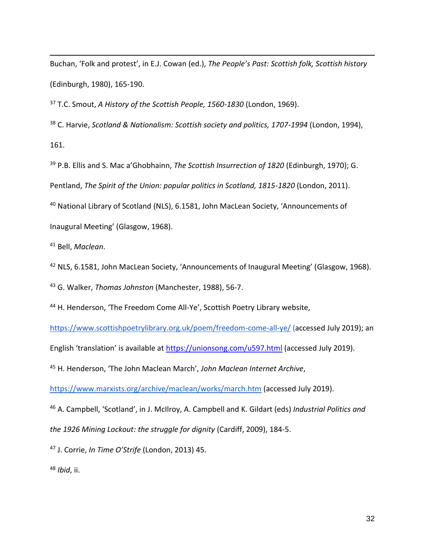Buchan, 'Folk and protest', in E.J. Cowan (ed.), *The People's Past: Scottish folk, Scottish history*  (Edinburgh, 1980), 165-190.

<sup>37</sup> T.C. Smout, *A History of the Scottish People, 1560-1830* (London, 1969).

<sup>38</sup> C. Harvie, *Scotland & Nationalism: Scottish society and politics, 1707-1994* (London, 1994), 161.

<sup>39</sup> P.B. Ellis and S. Mac a'Ghobhainn, *The Scottish Insurrection of 1820* (Edinburgh, 1970); G. Pentland, *The Spirit of the Union: popular politics in Scotland, 1815-1820* (London, 2011).

<sup>40</sup> National Library of Scotland (NLS), 6.1581, John MacLean Society, 'Announcements of Inaugural Meeting' (Glasgow, 1968).

<sup>41</sup> Bell, *Maclean*.

<sup>42</sup> NLS, 6.1581, John MacLean Society, 'Announcements of Inaugural Meeting' (Glasgow, 1968).

<sup>43</sup> G. Walker, *Thomas Johnston* (Manchester, 1988), 56-7.

<sup>44</sup> H. Henderson, 'The Freedom Come All-Ye', Scottish Poetry Library website,

<https://www.scottishpoetrylibrary.org.uk/poem/freedom-come-all-ye/> (accessed July 2019); an

English 'translation' is available at <https://unionsong.com/u597.html> (accessed July 2019).

<sup>45</sup> H. Henderson, 'The John Maclean March', *John Maclean Internet Archive*,

<https://www.marxists.org/archive/maclean/works/march.htm> (accessed July 2019).

<sup>46</sup> A. Campbell, 'Scotland', in J. McIlroy, A. Campbell and K. Gildart (eds) *Industrial Politics and the 1926 Mining Lockout: the struggle for dignity* (Cardiff, 2009), 184-5.

<sup>47</sup> J. Corrie, *In Time O'Strife* (London, 2013) 45.

<sup>48</sup> *Ibid*, ii.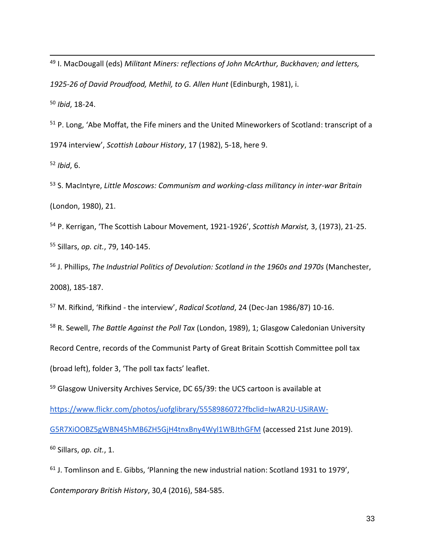<sup>49</sup> I. MacDougall (eds) *Militant Miners: reflections of John McArthur, Buckhaven; and letters, 1925-26 of David Proudfood, Methil, to G. Allen Hunt* (Edinburgh, 1981), i. <sup>50</sup> *Ibid*, 18-24.

<sup>51</sup> P. Long, 'Abe Moffat, the Fife miners and the United Mineworkers of Scotland: transcript of a 1974 interview', *Scottish Labour History*, 17 (1982), 5-18, here 9.

<sup>52</sup> *Ibid*, 6.

<sup>53</sup> S. MacIntyre, *Little Moscows: Communism and working-class militancy in inter-war Britain* (London, 1980), 21.

<sup>54</sup> P. Kerrigan, 'The Scottish Labour Movement, 1921-1926', *Scottish Marxist,* 3, (1973), 21-25. <sup>55</sup> Sillars, *op. cit.*, 79, 140-145.

<sup>56</sup> J. Phillips, *The Industrial Politics of Devolution: Scotland in the 1960s and 1970s* (Manchester, 2008), 185-187.

<sup>57</sup> M. Rifkind, 'Rifkind - the interview', *Radical Scotland*, 24 (Dec-Jan 1986/87) 10-16.

<sup>58</sup> R. Sewell, *The Battle Against the Poll Tax* (London, 1989), 1; Glasgow Caledonian University

Record Centre, records of the Communist Party of Great Britain Scottish Committee poll tax

(broad left), folder 3, 'The poll tax facts' leaflet.

<sup>59</sup> Glasgow University Archives Service, DC 65/39: the UCS cartoon is available at

[https://www.flickr.com/photos/uofglibrary/5558986072?fbclid=IwAR2U-USiRAW-](https://www.flickr.com/photos/uofglibrary/5558986072?fbclid=IwAR2U-USiRAW-G5R7XiOOBZ5gWBN45hMB6ZH5GjH4tnxBny4Wyl1WBJthGFM)

[G5R7XiOOBZ5gWBN45hMB6ZH5GjH4tnxBny4Wyl1WBJthGFM](https://www.flickr.com/photos/uofglibrary/5558986072?fbclid=IwAR2U-USiRAW-G5R7XiOOBZ5gWBN45hMB6ZH5GjH4tnxBny4Wyl1WBJthGFM) (accessed 21st June 2019).

<sup>60</sup> Sillars, *op. cit.*, 1.

 $61$  J. Tomlinson and E. Gibbs, 'Planning the new industrial nation: Scotland 1931 to 1979',

*Contemporary British History*, 30,4 (2016), 584-585.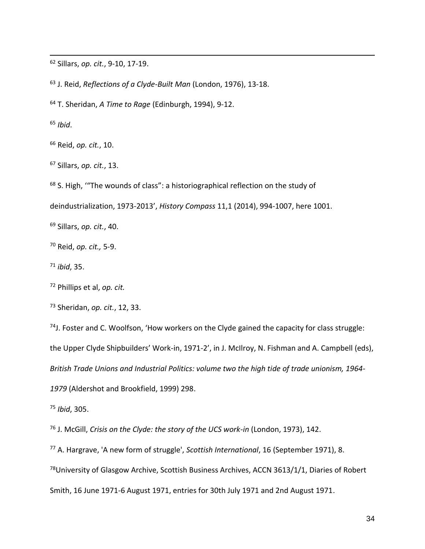Sillars, *op. cit.*, 9-10, 17-19.

J. Reid, *Reflections of a Clyde-Built Man* (London, 1976), 13-18.

T. Sheridan, *A Time to Rage* (Edinburgh, 1994), 9-12.

*Ibid*.

Reid, *op. cit.*, 10.

Sillars, *op. cit.*, 13.

S. High, '"The wounds of class": a historiographical reflection on the study of

deindustrialization, 1973-2013', *History Compass* 11,1 (2014), 994-1007, here 1001.

Sillars, *op. cit.*, 40.

Reid, *op. cit.,* 5-9.

*ibid*, 35.

Phillips et al, *op. cit.*

Sheridan, *op. cit.*, 12, 33.

J. Foster and C. Woolfson, 'How workers on the Clyde gained the capacity for class struggle: the Upper Clyde Shipbuilders' Work-in, 1971-2', in J. McIlroy, N. Fishman and A. Campbell (eds), *British Trade Unions and Industrial Politics: volume two the high tide of trade unionism, 1964-* (Aldershot and Brookfield, 1999) 298.

*Ibid*, 305.

J. McGill, *Crisis on the Clyde: the story of the UCS work-in* (London, 1973), 142.

A. Hargrave, 'A new form of struggle', *Scottish International*, 16 (September 1971), 8.

<sup>78</sup>University of Glasgow Archive, Scottish Business Archives, ACCN 3613/1/1, Diaries of Robert

Smith, 16 June 1971-6 August 1971, entries for 30th July 1971 and 2nd August 1971.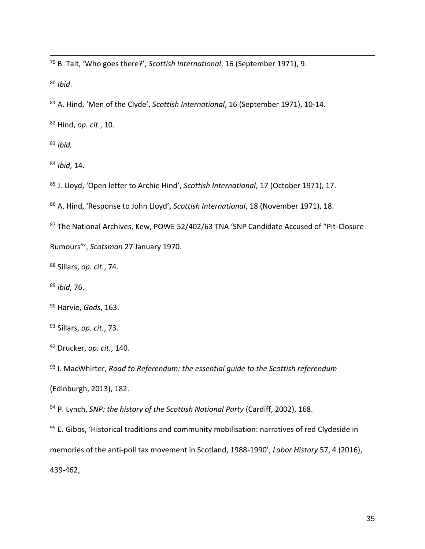B. Tait, 'Who goes there?', *Scottish International*, 16 (September 1971), 9.

*Ibid*.

A. Hind, 'Men of the Clyde', *Scottish International*, 16 (September 1971), 10-14.

Hind, *op. cit.*, 10.

*Ibid.*

*Ibid*, 14.

J. Lloyd, 'Open letter to Archie Hind', *Scottish International*, 17 (October 1971), 17.

A. Hind, 'Response to John Lloyd', *Scottish International*, 18 (November 1971), 18.

The National Archives, Kew, POWE 52/402/63 TNA 'SNP Candidate Accused of "Pit-Closure

Rumours"', *Scotsman* 27 January 1970.

Sillars, *op. cit.*, 74.

*ibid*, 76.

Harvie, *Gods*, 163.

Sillars, *op. cit.*, 73.

Drucker, *op. cit.*, 140.

 I. MacWhirter, *Road to Referendum: the essential guide to the Scottish referendum*  (Edinburgh, 2013), 182.

P. Lynch, *SNP: the history of the Scottish National Party* (Cardiff, 2002), 168.

95 E. Gibbs, 'Historical traditions and community mobilisation: narratives of red Clydeside in memories of the anti-poll tax movement in Scotland, 1988-1990', *Labor History* 57, 4 (2016), 439-462,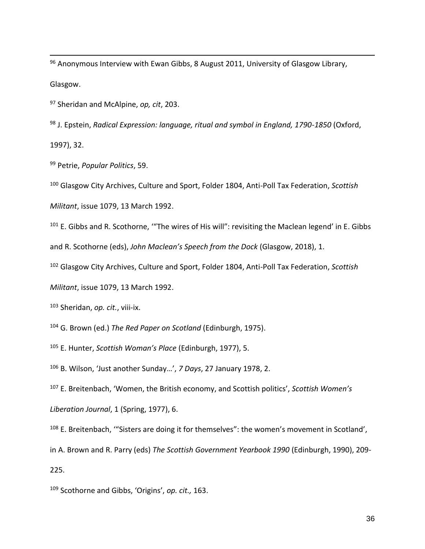$96$  Anonymous Interview with Ewan Gibbs, 8 August 2011, University of Glasgow Library, Glasgow.

<sup>97</sup> Sheridan and McAlpine, *op, cit*, 203.

<sup>98</sup> J. Epstein, *Radical Expression: language, ritual and symbol in England, 1790-1850* (Oxford, 1997), 32.

<sup>99</sup> Petrie, *Popular Politics*, 59.

<sup>100</sup> Glasgow City Archives, Culture and Sport, Folder 1804, Anti-Poll Tax Federation, *Scottish* 

*Militant*, issue 1079, 13 March 1992.

<sup>101</sup> E. Gibbs and R. Scothorne, "The wires of His will": revisiting the Maclean legend' in E. Gibbs and R. Scothorne (eds), *John Maclean's Speech from the Dock* (Glasgow, 2018), 1.

<sup>102</sup> Glasgow City Archives, Culture and Sport, Folder 1804, Anti-Poll Tax Federation, *Scottish* 

*Militant*, issue 1079, 13 March 1992.

<sup>103</sup> Sheridan, *op. cit.*, viii-ix.

<sup>104</sup> G. Brown (ed.) *The Red Paper on Scotland* (Edinburgh, 1975).

<sup>105</sup> E. Hunter, *Scottish Woman's Place* (Edinburgh, 1977), 5.

<sup>106</sup> B. Wilson, 'Just another Sunday…', *7 Days*, 27 January 1978, 2.

<sup>107</sup> E. Breitenbach, 'Women, the British economy, and Scottish politics', *Scottish Women's* 

*Liberation Journal*, 1 (Spring, 1977), 6.

<sup>108</sup> E. Breitenbach, "Sisters are doing it for themselves": the women's movement in Scotland',

in A. Brown and R. Parry (eds) *The Scottish Government Yearbook 1990* (Edinburgh, 1990), 209-

225.

<sup>109</sup> Scothorne and Gibbs, 'Origins', *op. cit.,* 163.